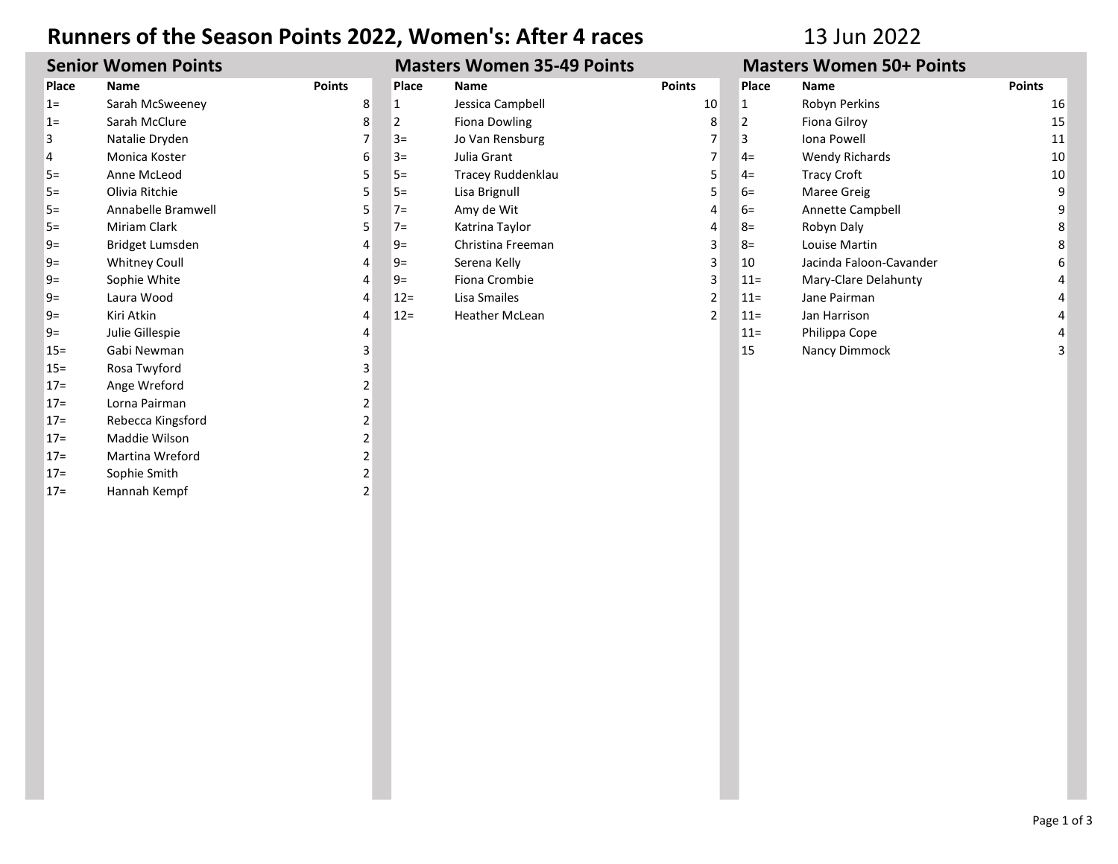## Runners of the Season Points 2022, Women's: After 4 races 13 Jun 2022

| <b>Senior Women Points</b> |                      |                | <b>Masters Women 35-49 Points</b> |                       |                | <b>Masters Women 50+ Points</b> |                         |               |
|----------------------------|----------------------|----------------|-----------------------------------|-----------------------|----------------|---------------------------------|-------------------------|---------------|
| Place                      | Name                 | <b>Points</b>  | Place                             | <b>Name</b>           | <b>Points</b>  | Place                           | <b>Name</b>             | <b>Points</b> |
| $1=$                       | Sarah McSweeney      | 8              | 1                                 | Jessica Campbell      | 10             | 1                               | Robyn Perkins           | 16            |
| $1=$                       | Sarah McClure        | 8              | 2                                 | Fiona Dowling         | 8              | 2                               | Fiona Gilroy            | 15            |
| 3                          | Natalie Dryden       |                | $3=$                              | Jo Van Rensburg       |                | 3                               | Iona Powell             | 11            |
| 4                          | Monica Koster        | 6              | $3=$                              | Julia Grant           |                | $4=$                            | <b>Wendy Richards</b>   | 10            |
| $5=$                       | Anne McLeod          |                | $5=$                              | Tracey Ruddenklau     | 5              | $4=$                            | <b>Tracy Croft</b>      | 10            |
| $5=$                       | Olivia Ritchie       |                | $5=$                              | Lisa Brignull         | 5              | $6=$                            | Maree Greig             | 9             |
| $5=$                       | Annabelle Bramwell   | 5              | $7=$                              | Amy de Wit            | 4              | $6=$                            | Annette Campbell        | 9             |
| $5=$                       | <b>Miriam Clark</b>  |                | $7=$                              | Katrina Taylor        | 4              | $8=$                            | Robyn Daly              |               |
| $9=$                       | Bridget Lumsden      |                | $9=$                              | Christina Freeman     | 3              | $8=$                            | Louise Martin           |               |
| $9=$                       | <b>Whitney Coull</b> |                | $9=$                              | Serena Kelly          | 3              | 10                              | Jacinda Faloon-Cavander | 6             |
| $9=$                       | Sophie White         |                | $9=$                              | Fiona Crombie         | 3              | $11 =$                          | Mary-Clare Delahunty    |               |
| $9=$                       | Laura Wood           |                | $12 =$                            | Lisa Smailes          | 2              | $11 =$                          | Jane Pairman            |               |
| $9=$                       | Kiri Atkin           |                | $12=$                             | <b>Heather McLean</b> | $\overline{2}$ | $11 =$                          | Jan Harrison            |               |
| $9=$                       | Julie Gillespie      | 4              |                                   |                       |                | $11 =$                          | Philippa Cope           |               |
| $15 =$                     | Gabi Newman          | 3              |                                   |                       |                | 15                              | Nancy Dimmock           |               |
| $15 =$                     | Rosa Twyford         | 3              |                                   |                       |                |                                 |                         |               |
| $17=$                      | Ange Wreford         | $\overline{2}$ |                                   |                       |                |                                 |                         |               |
| $17=$                      | Lorna Pairman        | 2              |                                   |                       |                |                                 |                         |               |
| $17=$                      | Rebecca Kingsford    | $\overline{2}$ |                                   |                       |                |                                 |                         |               |
| $17=$                      | Maddie Wilson        | 2 <sub>1</sub> |                                   |                       |                |                                 |                         |               |
| $17=$                      | Martina Wreford      | $\overline{2}$ |                                   |                       |                |                                 |                         |               |
| $17 =$                     | Sophie Smith         | $\overline{2}$ |                                   |                       |                |                                 |                         |               |
| $17 =$                     | Hannah Kempf         | $\overline{2}$ |                                   |                       |                |                                 |                         |               |